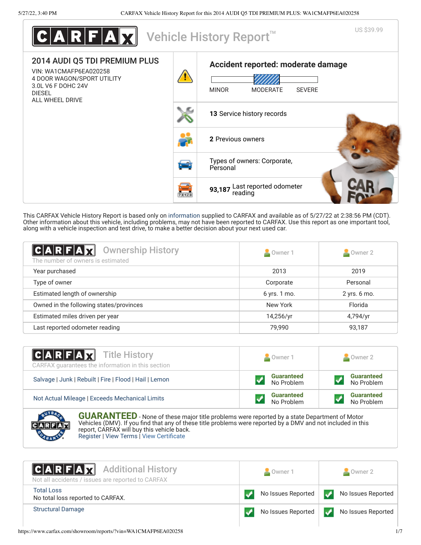| <b>CARFAX</b>                                                                                                                                   |                                                                                  | US \$39.99<br>Vehicle History Report <sup>™</sup>                                      |
|-------------------------------------------------------------------------------------------------------------------------------------------------|----------------------------------------------------------------------------------|----------------------------------------------------------------------------------------|
| 2014 AUDI Q5 TDI PREMIUM PLUS<br>VIN: WA1CMAFP6EA020258<br>4 DOOR WAGON/SPORT UTILITY<br>3.0L V6 F DOHC 24V<br><b>DIESEL</b><br>ALL WHEEL DRIVE |                                                                                  | Accident reported: moderate damage<br><b>MINOR</b><br><b>MODERATE</b><br><b>SEVERE</b> |
|                                                                                                                                                 |                                                                                  | 13 Service history records                                                             |
|                                                                                                                                                 |                                                                                  | 2 Previous owners                                                                      |
|                                                                                                                                                 | ثغا                                                                              | Types of owners: Corporate,<br>Personal                                                |
|                                                                                                                                                 | $\begin{array}{c} \begin{array}{c} \text{d} \\ \text{d} \end{array} \end{array}$ | 93,187 Last reported odometer<br>reading                                               |

This CARFAX Vehicle History Report is based only on [information](http://www.carfax.com/company/vhr-data-sources) supplied to CARFAX and available as of 5/27/22 at 2:38:56 PM (CDT). Other information about this vehicle, including problems, may not have been reported to CARFAX. Use this report as one important tool, along with a vehicle inspection and test drive, to make a better decision about your next used car.

<span id="page-0-1"></span>

| $C A R F A \overline{M}$<br><b>Ownership History</b><br>The number of owners is estimated | Owner 1      | Owner 2      |
|-------------------------------------------------------------------------------------------|--------------|--------------|
| Year purchased                                                                            | 2013         | 2019         |
| Type of owner                                                                             | Corporate    | Personal     |
| Estimated length of ownership                                                             | 6 yrs. 1 mo. | 2 yrs. 6 mo. |
| Owned in the following states/provinces                                                   | New York     | Florida      |
| Estimated miles driven per year                                                           | 14,256/yr    | 4,794/yr     |
| Last reported odometer reading                                                            | 79,990       | 93,187       |

| <b>CARFAX</b> Title History<br>CARFAX guarantees the information in this section | Owner 1                         | Owner 2                         |
|----------------------------------------------------------------------------------|---------------------------------|---------------------------------|
| Salvage   Junk   Rebuilt   Fire   Flood   Hail   Lemon                           | <b>Guaranteed</b><br>No Problem | <b>Guaranteed</b><br>No Problem |
| Not Actual Mileage   Exceeds Mechanical Limits                                   | <b>Guaranteed</b><br>No Problem | <b>Guaranteed</b><br>No Problem |
| <b>STATISTICS</b><br>_ _ _ _ _ _                                                 |                                 |                                 |



**GUARANTEED** - None of these major title problems were reported by a state Department of Motor Vehicles (DMV). If you find that any of these title problems were reported by a DMV and not included in this report, CARFAX will buy this vehicle back. [Register](https://www.carfax.com/Service/bbg) | [View Terms](https://www.carfax.com/company/carfax-buyback-guarantee-terms-and-conditions) | [View Certificate](https://www.carfax.com/showroom/reports/?vin=WA1CMAFP6EA020258)

<span id="page-0-0"></span>

| <b>CARFAX</b> Additional History<br>Not all accidents / issues are reported to CARFAX | Owner 1            | Owner 2            |
|---------------------------------------------------------------------------------------|--------------------|--------------------|
| <b>Total Loss</b><br>No total loss reported to CARFAX.                                | No Issues Reported | No Issues Reported |
| <b>Structural Damage</b>                                                              | No Issues Reported | No Issues Reported |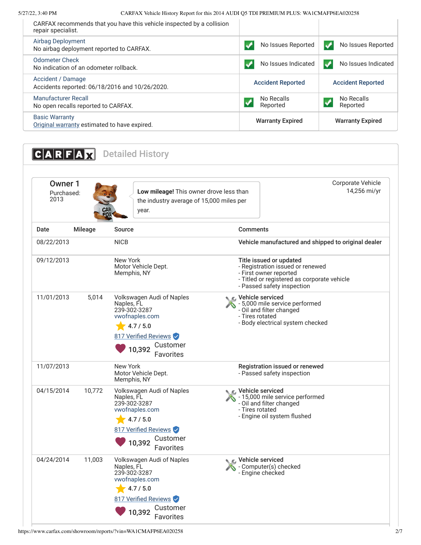5/27/22, 3:40 PM CARFAX Vehicle History Report for this 2014 AUDI Q5 TDI PREMIUM PLUS: WA1CMAFP6EA020258

| CARFAX recommends that you have this vehicle inspected by a collision<br>repair specialist. |                                  |                                |
|---------------------------------------------------------------------------------------------|----------------------------------|--------------------------------|
| Airbag Deployment<br>No airbag deployment reported to CARFAX.                               | No Issues Reported               | No Issues Reported             |
| <b>Odometer Check</b><br>No indication of an odometer rollback.                             | No Issues Indicated<br>$\bullet$ | No Issues Indicated<br>$\cdot$ |
| Accident / Damage<br>Accidents reported: 06/18/2016 and 10/26/2020.                         | <b>Accident Reported</b>         | <b>Accident Reported</b>       |
| <b>Manufacturer Recall</b><br>No open recalls reported to CARFAX.                           | No Recalls<br>Reported           | No Recalls<br>Reported         |
| <b>Basic Warranty</b><br>Original warranty estimated to have expired.                       | <b>Warranty Expired</b>          | <b>Warranty Expired</b>        |

<span id="page-1-1"></span><span id="page-1-0"></span>

| <b>Owner 1</b><br>2013 | Purchased:     | Low mileage! This owner drove less than<br>the industry average of 15,000 miles per<br>year.                                                             | Corporate Vehicle                                                                                                                                                  | 14,256 mi/yr |
|------------------------|----------------|----------------------------------------------------------------------------------------------------------------------------------------------------------|--------------------------------------------------------------------------------------------------------------------------------------------------------------------|--------------|
| Date                   | <b>Mileage</b> | <b>Source</b>                                                                                                                                            | <b>Comments</b>                                                                                                                                                    |              |
| 08/22/2013             |                | <b>NICB</b>                                                                                                                                              | Vehicle manufactured and shipped to original dealer                                                                                                                |              |
| 09/12/2013             |                | New York<br>Motor Vehicle Dept.<br>Memphis, NY                                                                                                           | Title issued or updated<br>- Registration issued or renewed<br>- First owner reported<br>- Titled or registered as corporate vehicle<br>- Passed safety inspection |              |
| 11/01/2013             | 5,014          | Volkswagen Audi of Naples<br>Naples, FL<br>239-302-3287<br>vwofnaples.com<br>4.7 / 5.0<br>817 Verified Reviews<br>Customer<br>10,392<br>Favorites        | <b>€</b> Vehicle serviced<br>- 5,000 mile service performed<br>- Oil and filter changed<br>- Tires rotated<br>- Body electrical system checked                     |              |
| 11/07/2013             |                | New York<br>Motor Vehicle Dept.<br>Memphis, NY                                                                                                           | Registration issued or renewed<br>- Passed safety inspection                                                                                                       |              |
| 04/15/2014             | 10,772         | Volkswagen Audi of Naples<br>Naples, FL<br>239-302-3287<br>vwofnaples.com<br>4.7 / 5.0<br>817 Verified Reviews<br>Customer<br>10,392<br><b>Favorites</b> | Vehicle serviced<br>- 15,000 mile service performed<br>- Oil and filter changed<br>- Tires rotated<br>- Engine oil system flushed                                  |              |
| 04/24/2014             | 11,003         | Volkswagen Audi of Naples<br>Naples, FL<br>239-302-3287<br>vwofnaples.com<br>4.7 / 5.0<br>817 Verified Reviews<br>Customer<br>10,392<br>Favorites        | Vehicle serviced<br>- Computer(s) checked<br>- Engine checked                                                                                                      |              |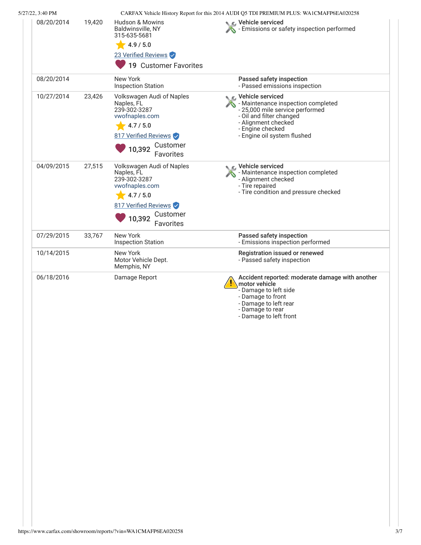| 08/20/2014 | 19,420 | <b>Hudson &amp; Mowins</b>                                                             | CARFAX Vehicle History Report for this 2014 AUDI Q5 TDI PREMIUM PLUS: WA1CMAFP6EA020258<br>Vehicle serviced                                                                           |
|------------|--------|----------------------------------------------------------------------------------------|---------------------------------------------------------------------------------------------------------------------------------------------------------------------------------------|
|            |        | Baldwinsville, NY<br>315-635-5681                                                      | Emissions or safety inspection performed                                                                                                                                              |
|            |        | $-4.9/5.0$                                                                             |                                                                                                                                                                                       |
|            |        | 23 Verified Reviews                                                                    |                                                                                                                                                                                       |
|            |        | 19 Customer Favorites                                                                  |                                                                                                                                                                                       |
| 08/20/2014 |        | New York<br><b>Inspection Station</b>                                                  | Passed safety inspection<br>- Passed emissions inspection                                                                                                                             |
| 10/27/2014 | 23,426 | Volkswagen Audi of Naples<br>Naples, FL<br>239-302-3287<br>vwofnaples.com<br>4.7 / 5.0 | Vehicle serviced<br>- Maintenance inspection completed<br>- 25,000 mile service performed<br>- Oil and filter changed<br>- Alignment checked                                          |
|            |        | 817 Verified Reviews                                                                   | - Engine checked<br>- Engine oil system flushed                                                                                                                                       |
|            |        | Customer<br>10,392<br>Favorites                                                        |                                                                                                                                                                                       |
| 04/09/2015 | 27,515 | Volkswagen Audi of Naples<br>Naples, FL<br>239-302-3287<br>vwofnaples.com              | Vehicle serviced<br>- Maintenance inspection completed<br>- Alignment checked<br>- Tire repaired<br>- Tire condition and pressure checked                                             |
|            |        | 4.7 / 5.0                                                                              |                                                                                                                                                                                       |
|            |        | 817 Verified Reviews                                                                   |                                                                                                                                                                                       |
|            |        | Customer<br>10,392<br>Favorites                                                        |                                                                                                                                                                                       |
| 07/29/2015 | 33,767 | New York<br><b>Inspection Station</b>                                                  | Passed safety inspection<br>- Emissions inspection performed                                                                                                                          |
| 10/14/2015 |        | New York<br>Motor Vehicle Dept.<br>Memphis, NY                                         | Registration issued or renewed<br>- Passed safety inspection                                                                                                                          |
| 06/18/2016 |        | Damage Report                                                                          | Accident reported: moderate damage with another<br>motor vehicle<br>- Damage to left side<br>- Damage to front<br>- Damage to left rear<br>- Damage to rear<br>- Damage to left front |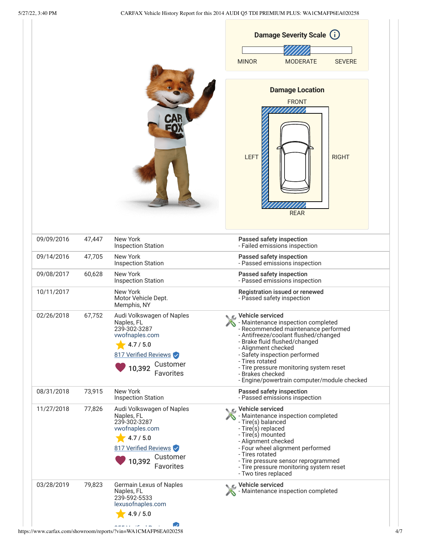$\overline{1}$ 

|            |        |                                                                                                                                                   | <b>MINOR</b><br><b>MODERATE</b><br><b>SEVERE</b>                                                                                                                                                                                                                                                                                                                |
|------------|--------|---------------------------------------------------------------------------------------------------------------------------------------------------|-----------------------------------------------------------------------------------------------------------------------------------------------------------------------------------------------------------------------------------------------------------------------------------------------------------------------------------------------------------------|
|            |        |                                                                                                                                                   | <b>Damage Location</b><br><b>FRONT</b><br>LEFT<br><b>RIGHT</b><br><b>REAR</b>                                                                                                                                                                                                                                                                                   |
| 09/09/2016 | 47,447 | New York<br><b>Inspection Station</b>                                                                                                             | Passed safety inspection<br>- Failed emissions inspection                                                                                                                                                                                                                                                                                                       |
| 09/14/2016 | 47,705 | New York<br><b>Inspection Station</b>                                                                                                             | Passed safety inspection<br>- Passed emissions inspection                                                                                                                                                                                                                                                                                                       |
| 09/08/2017 | 60,628 | New York<br><b>Inspection Station</b>                                                                                                             | Passed safety inspection<br>- Passed emissions inspection                                                                                                                                                                                                                                                                                                       |
| 10/11/2017 |        | New York<br>Motor Vehicle Dept.<br>Memphis, NY                                                                                                    | Registration issued or renewed<br>- Passed safety inspection                                                                                                                                                                                                                                                                                                    |
| 02/26/2018 | 67,752 | Audi Volkswagen of Naples<br>Naples, FL<br>239-302-3287<br>vwofnaples.com<br>4.7 / 5.0<br>817 Verified Reviews<br>Customer<br>10,392<br>Favorites | Vehicle serviced<br>- Maintenance inspection completed<br>- Recommended maintenance performed<br>- Antifreeze/coolant flushed/changed<br>- Brake fluid flushed/changed<br>- Alignment checked<br>- Safety inspection performed<br>- Tires rotated<br>- Tire pressure monitoring system reset<br>- Brakes checked<br>- Engine/powertrain computer/module checked |
| 08/31/2018 | 73,915 | New York<br><b>Inspection Station</b>                                                                                                             | Passed safety inspection<br>- Passed emissions inspection                                                                                                                                                                                                                                                                                                       |
| 11/27/2018 | 77,826 | Audi Volkswagen of Naples<br>Naples, FL<br>239-302-3287<br>vwofnaples.com<br>4.7 / 5.0<br>817 Verified Reviews<br>Customer<br>10,392<br>Favorites | Vehicle serviced<br>- Maintenance inspection completed<br>- Tire(s) balanced<br>- Tire(s) replaced<br>- Tire(s) mounted<br>- Alignment checked<br>- Four wheel alignment performed<br>- Tires rotated<br>- Tire pressure sensor reprogrammed<br>- Tire pressure monitoring system reset<br>- Two tires replaced                                                 |
| 03/28/2019 | 79,823 | Germain Lexus of Naples<br>Naples, FL<br>239-592-5533<br>lexusofnaples.com                                                                        | Vehicle serviced<br>Maintenance inspection completed                                                                                                                                                                                                                                                                                                            |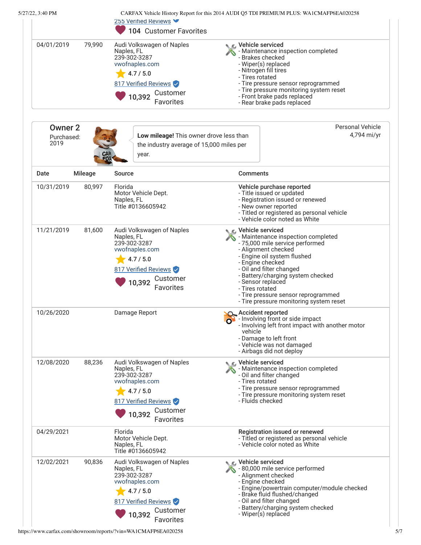<span id="page-4-0"></span>

| 5/27/22, 3:40 PM                     |                | 255 Verified Reviews V<br>104 Customer Favorites                                                                                                         | CARFAX Vehicle History Report for this 2014 AUDI Q5 TDI PREMIUM PLUS: WA1CMAFP6EA020258                                                                                                                                                                                                                                                                                 |  |
|--------------------------------------|----------------|----------------------------------------------------------------------------------------------------------------------------------------------------------|-------------------------------------------------------------------------------------------------------------------------------------------------------------------------------------------------------------------------------------------------------------------------------------------------------------------------------------------------------------------------|--|
| 04/01/2019<br>79,990                 |                | Audi Volkswagen of Naples<br>Naples, FL<br>239-302-3287<br>vwofnaples.com<br>4.7 / 5.0<br>817 Verified Reviews<br>Customer<br>10,392<br>Favorites        | C Vehicle serviced<br>- Maintenance inspection completed<br>- Brakes checked<br>- Wiper(s) replaced<br>- Nitrogen fill tires<br>- Tires rotated<br>- Tire pressure sensor reprogrammed<br>- Tire pressure monitoring system reset<br>- Front brake pads replaced<br>- Rear brake pads replaced                                                                          |  |
| <b>Owner 2</b><br>Purchased:<br>2019 |                | Low mileage! This owner drove less than<br>the industry average of 15,000 miles per<br><b>CAR</b><br>FOX<br>year.                                        | <b>Personal Vehicle</b><br>4,794 mi/yr                                                                                                                                                                                                                                                                                                                                  |  |
| Date                                 | <b>Mileage</b> | Source                                                                                                                                                   | <b>Comments</b>                                                                                                                                                                                                                                                                                                                                                         |  |
| 10/31/2019                           | 80,997         | Florida<br>Motor Vehicle Dept.<br>Naples, FL<br>Title #0136605942                                                                                        | Vehicle purchase reported<br>- Title issued or updated<br>- Registration issued or renewed<br>- New owner reported<br>- Titled or registered as personal vehicle<br>- Vehicle color noted as White                                                                                                                                                                      |  |
| 11/21/2019                           | 81,600         | Audi Volkswagen of Naples<br>Naples, FL<br>239-302-3287<br>vwofnaples.com<br>4.7 / 5.0<br>817 Verified Reviews<br>Customer<br>10,392<br>Favorites        | <b>€</b> Vehicle serviced<br>- Maintenance inspection completed<br>- 75,000 mile service performed<br>- Alignment checked<br>- Engine oil system flushed<br>- Engine checked<br>- Oil and filter changed<br>- Battery/charging system checked<br>- Sensor replaced<br>- Tires rotated<br>- Tire pressure sensor reprogrammed<br>- Tire pressure monitoring system reset |  |
| 10/26/2020                           |                | Damage Report                                                                                                                                            | <b>SO</b> Accident reported<br>o <sup>1</sup> - Involving front or side impact<br>- Involving left front impact with another motor<br>vehicle<br>- Damage to left front<br>- Vehicle was not damaged<br>- Airbags did not deploy                                                                                                                                        |  |
| 12/08/2020                           | 88,236         | Audi Volkswagen of Naples<br>Naples, FL<br>239-302-3287<br>vwofnaples.com<br>4.7 / 5.0<br>817 Verified Reviews<br>Customer<br>10,392<br><b>Favorites</b> | C Vehicle serviced<br>- Maintenance inspection completed<br>- Oil and filter changed<br>- Tires rotated<br>- Tire pressure sensor reprogrammed<br>- Tire pressure monitoring system reset<br>- Fluids checked                                                                                                                                                           |  |
| 04/29/2021                           |                | Florida<br>Motor Vehicle Dept.<br>Naples, FL<br>Title #0136605942                                                                                        | Registration issued or renewed<br>- Titled or registered as personal vehicle<br>- Vehicle color noted as White                                                                                                                                                                                                                                                          |  |
| 12/02/2021                           | 90,836         | Audi Volkswagen of Naples<br>Naples, FL<br>239-302-3287<br>vwofnaples.com<br>4.7 / 5.0<br>817 Verified Reviews<br>Customer<br>10,392<br>Favorites        | C Vehicle serviced<br>- 80,000 mile service performed<br>- Alignment checked<br>- Engine checked<br>- Engine/powertrain computer/module checked<br>- Brake fluid flushed/changed<br>- Oil and filter changed<br>- Battery/charging system checked<br>- Wiper(s) replaced                                                                                                |  |

https://www.carfax.com/showroom/reports/?vin=WA1CMAFP6EA020258 5/7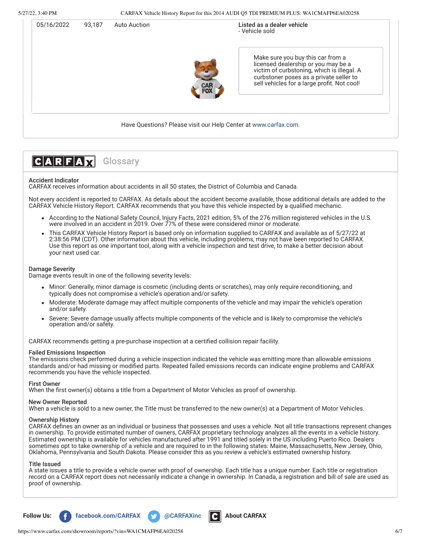| 05/16/2022 | <b>Auto Auction</b><br>93.187 | Listed as a dealer vehicle<br>- Vehicle sold |                                                                                                                                                                                                                  |
|------------|-------------------------------|----------------------------------------------|------------------------------------------------------------------------------------------------------------------------------------------------------------------------------------------------------------------|
|            |                               |                                              | Make sure you buy this car from a<br>licensed dealership or you may be a<br>victim of curbstoning, which is illegal. A<br>curbstoner poses as a private seller to<br>sell vehicles for a large profit. Not cool! |
|            |                               |                                              | Have Questions? Please visit our Help Center at www.carfax.com.                                                                                                                                                  |



## Accident Indicator

CARFAX receives information about accidents in all 50 states, the District of Columbia and Canada.

Not every accident is reported to CARFAX. As details about the accident become available, those additional details are added to the CARFAX Vehicle History Report. CARFAX recommends that you have this vehicle inspected by a qualified mechanic.

- According to the National Safety Council, Injury Facts, 2021 edition, 5% of the 276 million registered vehicles in the U.S. were involved in an accident in 2019. Over 77% of these were considered minor or moderate.
- This CARFAX Vehicle History Report is based only on information supplied to CARFAX and available as of 5/27/22 at 2:38:56 PM (CDT). Other information about this vehicle, including problems, may not have been reported to CARFAX. Use this report as one important tool, along with a vehicle inspection and test drive, to make a better decision about your next used car.

## Damage Severity

Damage events result in one of the following severity levels:

- Minor: Generally, minor damage is cosmetic (including dents or scratches), may only require reconditioning, and typically does not compromise a vehicle's operation and/or safety.
- Moderate: Moderate damage may affect multiple components of the vehicle and may impair the vehicle's operation and/or safety.
- Severe: Severe damage usually affects multiple components of the vehicle and is likely to compromise the vehicle's operation and/or safety.

CARFAX recommends getting a pre-purchase inspection at a certified collision repair facility.

# Failed Emissions Inspection

The emissions check performed during a vehicle inspection indicated the vehicle was emitting more than allowable emissions standards and/or had missing or modified parts. Repeated failed emissions records can indicate engine problems and CARFAX recommends you have the vehicle inspected.

## First Owner

When the first owner(s) obtains a title from a Department of Motor Vehicles as proof of ownership.

#### New Owner Reported

When a vehicle is sold to a new owner, the Title must be transferred to the new owner(s) at a Department of Motor Vehicles.

## Ownership History

CARFAX defines an owner as an individual or business that possesses and uses a vehicle. Not all title transactions represent changes in ownership. To provide estimated number of owners, CARFAX proprietary technology analyzes all the events in a vehicle history. Estimated ownership is available for vehicles manufactured after 1991 and titled solely in the US including Puerto Rico. Dealers sometimes opt to take ownership of a vehicle and are required to in the following states: Maine, Massachusetts, New Jersey, Ohio, Oklahoma, Pennsylvania and South Dakota. Please consider this as you review a vehicle's estimated ownership history.

#### Title Issued

A state issues a title to provide a vehicle owner with proof of ownership. Each title has a unique number. Each title or registration record on a CARFAX report does not necessarily indicate a change in ownership. In Canada, a registration and bill of sale are used as proof of ownership.